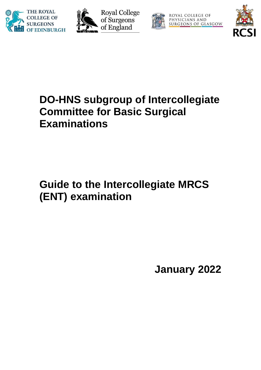





ROYAL COLLEGE OF PHYSICIANS AND<br>SURGEONS OF GLASGOW



# **DO-HNS subgroup of Intercollegiate Committee for Basic Surgical Examinations**

# **Guide to the Intercollegiate MRCS (ENT) examination**

**January 2022**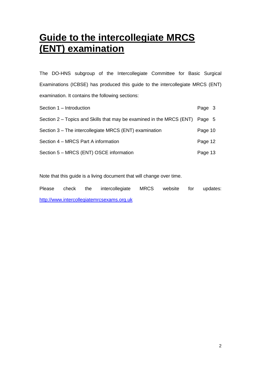## **Guide to the intercollegiate MRCS (ENT) examination**

The DO-HNS subgroup of the Intercollegiate Committee for Basic Surgical Examinations (ICBSE) has produced this guide to the intercollegiate MRCS (ENT) examination. It contains the following sections:

| Section 1 - Introduction                                             | Page 3  |  |
|----------------------------------------------------------------------|---------|--|
| Section 2 – Topics and Skills that may be examined in the MRCS (ENT) | Page 5  |  |
| Section 3 – The intercollegiate MRCS (ENT) examination               | Page 10 |  |
| Section 4 – MRCS Part A information                                  | Page 12 |  |
| Section 5 - MRCS (ENT) OSCE information                              | Page 13 |  |

Note that this guide is a living document that will change over time.

Please check the intercollegiate MRCS website for updates: [http://www.intercollegiatemrcsexams.org.uk](http://www.intercollegiatemrcsexams.org.uk/)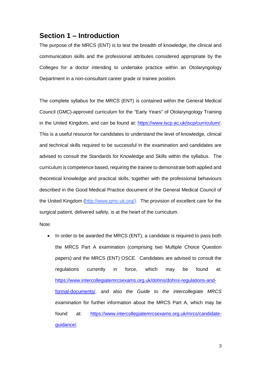### **Section 1 – Introduction**

The purpose of the MRCS (ENT) is to test the breadth of knowledge, the clinical and communication skills and the professional attributes considered appropriate by the Colleges for a doctor intending to undertake practice within an Otolaryngology Department in a non-consultant career grade or trainee position.

The complete syllabus for the MRCS (ENT) is contained within the General Medical Council (GMC)-approved curriculum for the "Early Years" of Otolaryngology Training in the United Kingdom, and can be found at: [https://www.iscp.ac.uk/iscp/curriculum/.](https://www.iscp.ac.uk/iscp/curriculum/) This is a useful resource for candidates to understand the level of knowledge, clinical and technical skills required to be successful in the examination and candidates are advised to consult the Standards for Knowledge and Skills within the syllabus. The curriculum is competence based, requiring the trainee to demonstrate both applied and theoretical knowledge and practical skills, together with the professional behaviours described in the Good Medical Practice document of the General Medical Council of the United Kingdom [\(http://www.gmc-uk.org/\)](http://www.gmc-uk.org/). The provision of excellent care for the surgical patient, delivered safely, is at the heart of the curriculum.

Note:

• In order to be awarded the MRCS (ENT), a candidate is required to pass both the MRCS Part A examination (comprising two Multiple Choice Question papers) and the MRCS (ENT) OSCE. Candidates are advised to consult the regulations currently in force, which may be found at: [https://www.intercollegiatemrcsexams.org.uk/dohns/dohns-regulations-and](https://www.intercollegiatemrcsexams.org.uk/dohns/dohns-regulations-and-formal-documents/)[formal-documents/,](https://www.intercollegiatemrcsexams.org.uk/dohns/dohns-regulations-and-formal-documents/) and also the *Guide to the intercollegiate MRCS examination* for further information about the MRCS Part A, which may be found at: [https://www.intercollegiatemrcsexams.org.uk/mrcs/candidate](https://www.intercollegiatemrcsexams.org.uk/mrcs/candidate-guidance/)[guidance/.](https://www.intercollegiatemrcsexams.org.uk/mrcs/candidate-guidance/)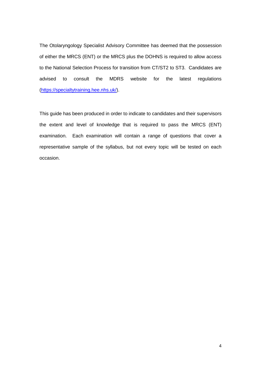The Otolaryngology Specialist Advisory Committee has deemed that the possession of either the MRCS (ENT) or the MRCS plus the DOHNS is required to allow access to the National Selection Process for transition from CT/ST2 to ST3. Candidates are advised to consult the MDRS website for the latest regulations [\(https://specialtytraining.hee.nhs.uk/\)](https://specialtytraining.hee.nhs.uk/).

This guide has been produced in order to indicate to candidates and their supervisors the extent and level of knowledge that is required to pass the MRCS (ENT) examination. Each examination will contain a range of questions that cover a representative sample of the syllabus, but not every topic will be tested on each occasion.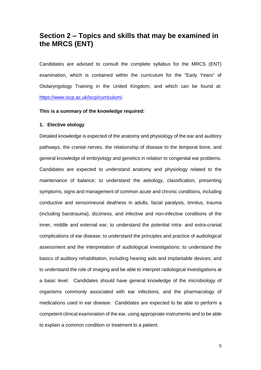## **Section 2 – Topics and skills that may be examined in the MRCS (ENT)**

Candidates are advised to consult the complete syllabus for the MRCS (ENT) examination, which is contained within the curriculum for the "Early Years" of Otolaryngology Training in the United Kingdom, and which can be found at: [https://www.iscp.ac.uk/iscp/curriculum/.](https://www.iscp.ac.uk/iscp/curriculum/)

#### **This is a summary of the knowledge required:**

#### **1. Elective otology**

Detailed knowledge is expected of the anatomy and physiology of the ear and auditory pathways, the cranial nerves, the relationship of disease to the temporal bone, and general knowledge of embryology and genetics in relation to congenital ear problems. Candidates are expected to understand anatomy and physiology related to the maintenance of balance; to understand the aetiology, classification, presenting symptoms, signs and management of common acute and chronic conditions, including conductive and sensorineural deafness in adults, facial paralysis, tinnitus, trauma (including barotrauma), dizziness, and infective and non-infective conditions of the inner, middle and external ear; to understand the potential intra- and extra-cranial complications of ear disease; to understand the principles and practice of audiological assessment and the interpretation of audiological investigations; to understand the basics of auditory rehabilitation, including hearing aids and implantable devices; and to understand the role of imaging and be able to interpret radiological investigations at a basic level. Candidates should have general knowledge of the microbiology of organisms commonly associated with ear infections, and the pharmacology of medications used in ear disease. Candidates are expected to be able to perform a competent clinical examination of the ear, using appropriate instruments and to be able to explain a common condition or treatment to a patient.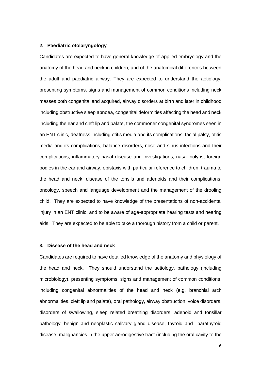#### **2. Paediatric otolaryngology**

Candidates are expected to have general knowledge of applied embryology and the anatomy of the head and neck in children, and of the anatomical differences between the adult and paediatric airway. They are expected to understand the aetiology, presenting symptoms, signs and management of common conditions including neck masses both congenital and acquired, airway disorders at birth and later in childhood including obstructive sleep apnoea, congenital deformities affecting the head and neck including the ear and cleft lip and palate, the commoner congenital syndromes seen in an ENT clinic, deafness including otitis media and its complications, facial palsy, otitis media and its complications, balance disorders, nose and sinus infections and their complications, inflammatory nasal disease and investigations, nasal polyps, foreign bodies in the ear and airway, epistaxis with particular reference to children, trauma to the head and neck, disease of the tonsils and adenoids and their complications, oncology, speech and language development and the management of the drooling child. They are expected to have knowledge of the presentations of non-accidental injury in an ENT clinic, and to be aware of age-appropriate hearing tests and hearing aids. They are expected to be able to take a thorough history from a child or parent.

#### **3. Disease of the head and neck**

Candidates are required to have detailed knowledge of the anatomy and physiology of the head and neck. They should understand the aetiology, pathology (including microbiology), presenting symptoms, signs and management of common conditions, including congenital abnormalities of the head and neck (e.g. branchial arch abnormalities, cleft lip and palate), oral pathology, airway obstruction, voice disorders, disorders of swallowing, sleep related breathing disorders, adenoid and tonsillar pathology, benign and neoplastic salivary gland disease, thyroid and parathyroid disease, malignancies in the upper aerodigestive tract (including the oral cavity to the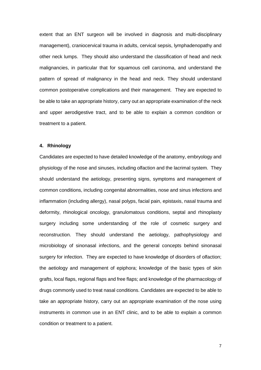extent that an ENT surgeon will be involved in diagnosis and multi-disciplinary management), craniocervical trauma in adults, cervical sepsis, lymphadenopathy and other neck lumps. They should also understand the classification of head and neck malignancies, in particular that for squamous cell carcinoma, and understand the pattern of spread of malignancy in the head and neck. They should understand common postoperative complications and their management. They are expected to be able to take an appropriate history, carry out an appropriate examination of the neck and upper aerodigestive tract, and to be able to explain a common condition or treatment to a patient.

#### **4. Rhinology**

Candidates are expected to have detailed knowledge of the anatomy, embryology and physiology of the nose and sinuses, including olfaction and the lacrimal system. They should understand the aetiology, presenting signs, symptoms and management of common conditions, including congenital abnormalities, nose and sinus infections and inflammation (including allergy), nasal polyps, facial pain, epistaxis, nasal trauma and deformity, rhinological oncology, granulomatous conditions, septal and rhinoplasty surgery including some understanding of the role of cosmetic surgery and reconstruction. They should understand the aetiology, pathophysiology and microbiology of sinonasal infections, and the general concepts behind sinonasal surgery for infection. They are expected to have knowledge of disorders of olfaction; the aetiology and management of epiphora; knowledge of the basic types of skin grafts, local flaps, regional flaps and free flaps; and knowledge of the pharmacology of drugs commonly used to treat nasal conditions. Candidates are expected to be able to take an appropriate history, carry out an appropriate examination of the nose using instruments in common use in an ENT clinic, and to be able to explain a common condition or treatment to a patient.

7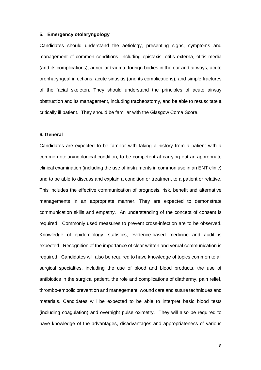#### **5. Emergency otolaryngology**

Candidates should understand the aetiology, presenting signs, symptoms and management of common conditions, including epistaxis, otitis externa, otitis media (and its complications), auricular trauma, foreign bodies in the ear and airways, acute oropharyngeal infections, acute sinusitis (and its complications), and simple fractures of the facial skeleton. They should understand the principles of acute airway obstruction and its management, including tracheostomy, and be able to resuscitate a critically ill patient. They should be familiar with the Glasgow Coma Score.

#### **6. General**

Candidates are expected to be familiar with taking a history from a patient with a common otolaryngological condition, to be competent at carrying out an appropriate clinical examination (including the use of instruments in common use in an ENT clinic) and to be able to discuss and explain a condition or treatment to a patient or relative. This includes the effective communication of prognosis, risk, benefit and alternative managements in an appropriate manner. They are expected to demonstrate communication skills and empathy. An understanding of the concept of consent is required. Commonly used measures to prevent cross-infection are to be observed. Knowledge of epidemiology, statistics, evidence-based medicine and audit is expected. Recognition of the importance of clear written and verbal communication is required. Candidates will also be required to have knowledge of topics common to all surgical specialties, including the use of blood and blood products, the use of antibiotics in the surgical patient, the role and complications of diathermy, pain relief, thrombo-embolic prevention and management, wound care and suture techniques and materials. Candidates will be expected to be able to interpret basic blood tests (including coagulation) and overnight pulse oximetry. They will also be required to have knowledge of the advantages, disadvantages and appropriateness of various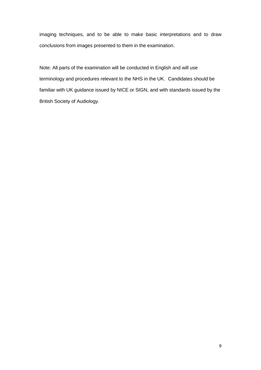imaging techniques, and to be able to make basic interpretations and to draw conclusions from images presented to them in the examination.

Note: All parts of the examination will be conducted in English and will use terminology and procedures relevant to the NHS in the UK. Candidates should be familiar with UK guidance issued by NICE or SIGN, and with standards issued by the British Society of Audiology.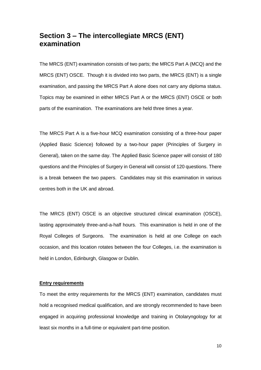## **Section 3 – The intercollegiate MRCS (ENT) examination**

The MRCS (ENT) examination consists of two parts; the MRCS Part A (MCQ) and the MRCS (ENT) OSCE. Though it is divided into two parts, the MRCS (ENT) is a single examination, and passing the MRCS Part A alone does not carry any diploma status. Topics may be examined in either MRCS Part A or the MRCS (ENT) OSCE or both parts of the examination. The examinations are held three times a year.

The MRCS Part A is a five-hour MCQ examination consisting of a three-hour paper (Applied Basic Science) followed by a two-hour paper (Principles of Surgery in General), taken on the same day. The Applied Basic Science paper will consist of 180 questions and the Principles of Surgery in General will consist of 120 questions. There is a break between the two papers. Candidates may sit this examination in various centres both in the UK and abroad.

The MRCS (ENT) OSCE is an objective structured clinical examination (OSCE), lasting approximately three-and-a-half hours. This examination is held in one of the Royal Colleges of Surgeons. The examination is held at one College on each occasion, and this location rotates between the four Colleges, i.e. the examination is held in London, Edinburgh, Glasgow or Dublin.

#### **Entry requirements**

To meet the entry requirements for the MRCS (ENT) examination, candidates must hold a recognised medical qualification, and are strongly recommended to have been engaged in acquiring professional knowledge and training in Otolaryngology for at least six months in a full-time or equivalent part-time position.

10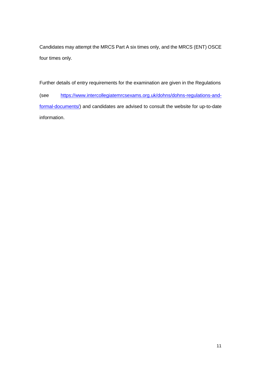Candidates may attempt the MRCS Part A six times only, and the MRCS (ENT) OSCE four times only.

Further details of entry requirements for the examination are given in the Regulations (see [https://www.intercollegiatemrcsexams.org.uk/dohns/dohns-regulations-and](https://www.intercollegiatemrcsexams.org.uk/dohns/dohns-regulations-and-formal-documents/)[formal-documents/\)](https://www.intercollegiatemrcsexams.org.uk/dohns/dohns-regulations-and-formal-documents/) and candidates are advised to consult the website for up-to-date information.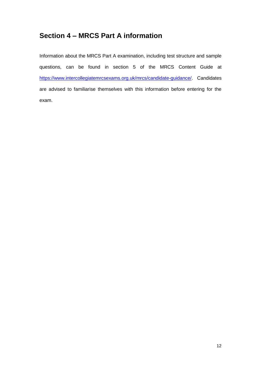## **Section 4 – MRCS Part A information**

Information about the MRCS Part A examination, including test structure and sample questions, can be found in section 5 of the MRCS Content Guide at [https://www.intercollegiatemrcsexams.org.uk/mrcs/candidate-guidance/.](https://www.intercollegiatemrcsexams.org.uk/mrcs/candidate-guidance/) Candidates are advised to familiarise themselves with this information before entering for the exam.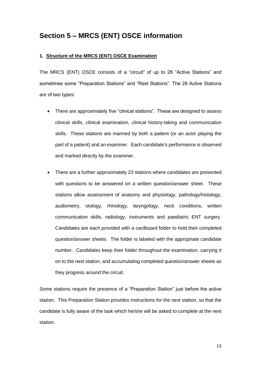## **Section 5 – MRCS (ENT) OSCE information**

#### **1. Structure of the MRCS (ENT) OSCE Examination**

The MRCS (ENT) OSCE consists of a "circuit" of up to 28 "Active Stations" and sometimes some "Preparation Stations" and "Rest Stations". The 28 Active Stations are of two types:

- There are approximately five "clinical stations". These are designed to assess clinical skills, clinical examination, clinical history-taking and communication skills. These stations are manned by both a patient (or an actor playing the part of a patient) and an examiner. Each candidate's performance is observed and marked directly by the examiner.
- There are a further approximately 23 stations where candidates are presented with questions to be answered on a written question/answer sheet. These stations allow assessment of anatomy and physiology, pathology/histology, audiometry, otology, rhinology, laryngology, neck conditions, written communication skills, radiology, instruments and paediatric ENT surgery. Candidates are each provided with a cardboard folder to hold their completed question/answer sheets. The folder is labeled with the appropriate candidate number. Candidates keep their folder throughout the examination, carrying it on to the next station, and accumulating completed question/answer sheets as they progress around the circuit.

Some stations require the presence of a "Preparation Station" just before the active station. This Preparation Station provides instructions for the next station, so that the candidate is fully aware of the task which he/she will be asked to complete at the next station.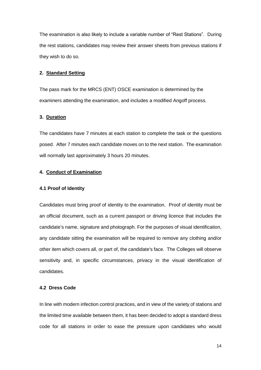The examination is also likely to include a variable number of "Rest Stations". During the rest stations, candidates may review their answer sheets from previous stations if they wish to do so.

#### **2. Standard Setting**

The pass mark for the MRCS (ENT) OSCE examination is determined by the examiners attending the examination, and includes a modified Angoff process.

#### **3. Duration**

The candidates have 7 minutes at each station to complete the task or the questions posed. After 7 minutes each candidate moves on to the next station. The examination will normally last approximately 3 hours 20 minutes.

#### **4. Conduct of Examination**

#### **4.1 Proof of Identity**

Candidates must bring proof of identity to the examination. Proof of identity must be an official document, such as a current passport or driving licence that includes the candidate's name, signature and photograph. For the purposes of visual identification, any candidate sitting the examination will be required to remove any clothing and/or other item which covers all, or part of, the candidate's face. The Colleges will observe sensitivity and, in specific circumstances, privacy in the visual identification of candidates.

#### **4.2 Dress Code**

In line with modern infection control practices, and in view of the variety of stations and the limited time available between them, it has been decided to adopt a standard dress code for all stations in order to ease the pressure upon candidates who would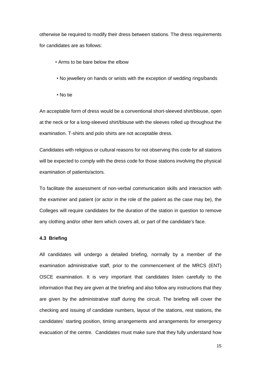otherwise be required to modify their dress between stations. The dress requirements for candidates are as follows:

- Arms to be bare below the elbow
- No jewellery on hands or wrists with the exception of wedding rings/bands
- No tie

An acceptable form of dress would be a conventional short-sleeved shirt/blouse, open at the neck or for a long-sleeved shirt/blouse with the sleeves rolled up throughout the examination. T-shirts and polo shirts are not acceptable dress.

Candidates with religious or cultural reasons for not observing this code for all stations will be expected to comply with the dress code for those stations involving the physical examination of patients/actors.

To facilitate the assessment of non-verbal communication skills and interaction with the examiner and patient (or actor in the role of the patient as the case may be)*,* the Colleges will require candidates for the duration of the station in question to remove any clothing and/or other item which covers all, or part of the candidate's face.

#### **4.3 Briefing**

All candidates will undergo a detailed briefing, normally by a member of the examination administrative staff, prior to the commencement of the MRCS (ENT) OSCE examination. It is very important that candidates listen carefully to the information that they are given at the briefing and also follow any instructions that they are given by the administrative staff during the circuit. The briefing will cover the checking and issuing of candidate numbers, layout of the stations, rest stations, the candidates' starting position, timing arrangements and arrangements for emergency evacuation of the centre. Candidates must make sure that they fully understand how

15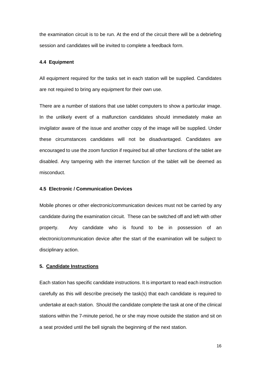the examination circuit is to be run. At the end of the circuit there will be a debriefing session and candidates will be invited to complete a feedback form.

#### **4.4 Equipment**

All equipment required for the tasks set in each station will be supplied. Candidates are not required to bring any equipment for their own use.

There are a number of stations that use tablet computers to show a particular image. In the unlikely event of a malfunction candidates should immediately make an invigilator aware of the issue and another copy of the image will be supplied. Under these circumstances candidates will not be disadvantaged. Candidates are encouraged to use the zoom function if required but all other functions of the tablet are disabled. Any tampering with the internet function of the tablet will be deemed as misconduct.

#### **4.5 Electronic / Communication Devices**

Mobile phones or other electronic/communication devices must not be carried by any candidate during the examination circuit. These can be switched off and left with other property. Any candidate who is found to be in possession of an electronic/communication device after the start of the examination will be subject to disciplinary action.

#### **5. Candidate Instructions**

Each station has specific candidate instructions. It is important to read each instruction carefully as this will describe precisely the task(s) that each candidate is required to undertake at each station. Should the candidate complete the task at one of the clinical stations within the 7-minute period, he or she may move outside the station and sit on a seat provided until the bell signals the beginning of the next station.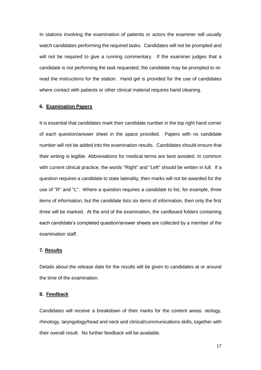In stations involving the examination of patients or actors the examiner will usually watch candidates performing the required tasks. Candidates will not be prompted and will not be required to give a running commentary. If the examiner judges that a candidate is not performing the task requested, the candidate may be prompted to reread the instructions for the station. Hand gel is provided for the use of candidates where contact with patients or other clinical material requires hand cleaning.

#### **6. Examination Papers**

It is essential that candidates mark their candidate number in the top right hand corner of each question/answer sheet in the space provided. Papers with no candidate number will not be added into the examination results. Candidates should ensure that their writing is legible. Abbreviations for medical terms are best avoided. In common with current clinical practice, the words "Right" and "Left" should be written in full. If a question requires a candidate to state laterality, then marks will not be awarded for the use of "R" and "L". Where a question requires a candidate to list, for example, three items of information, but the candidate lists six items of information, then only the first three will be marked. At the end of the examination, the cardboard folders containing each candidate's completed question/answer sheets are collected by a member of the examination staff.

#### **7. Results**

Details about the release date for the results will be given to candidates at or around the time of the examination.

#### **8. Feedback**

Candidates will receive a breakdown of their marks for the content areas: otology, rhinology, laryngology/head and neck and clinical/communications skills, together with their overall result. No further feedback will be available.